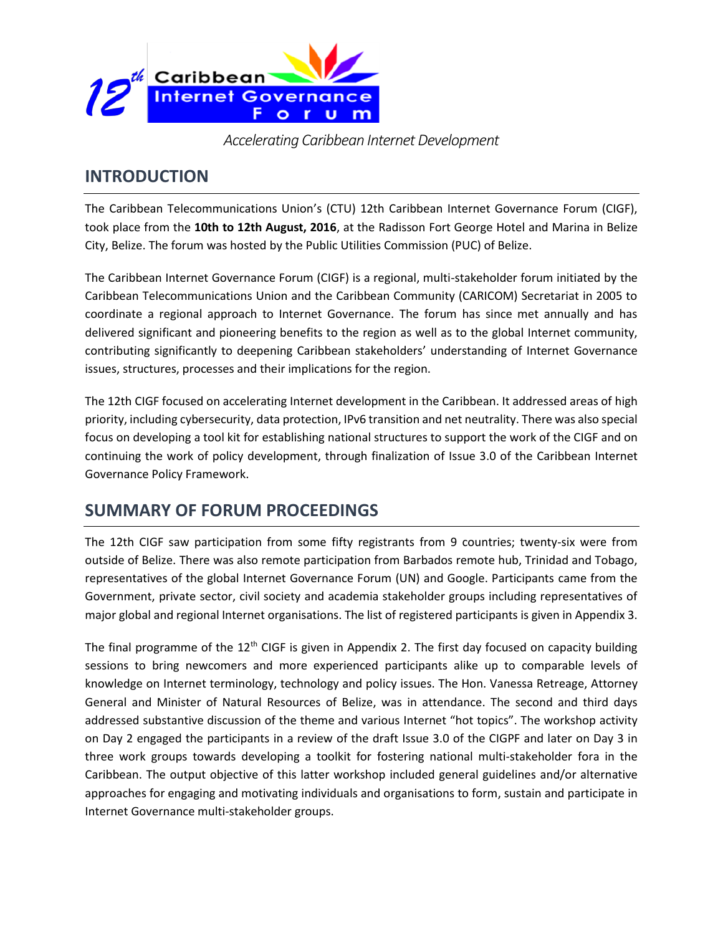

*Accelerating Caribbean Internet Development*

### **INTRODUCTION**

The Caribbean Telecommunications Union's (CTU) 12th Caribbean Internet Governance Forum (CIGF), took place from the **10th to 12th August, 2016**, at the Radisson Fort George Hotel and Marina in Belize City, Belize. The forum was hosted by the Public Utilities Commission (PUC) of Belize.

The Caribbean Internet Governance Forum (CIGF) is a regional, multi-stakeholder forum initiated by the Caribbean Telecommunications Union and the Caribbean Community (CARICOM) Secretariat in 2005 to coordinate a regional approach to Internet Governance. The forum has since met annually and has delivered significant and pioneering benefits to the region as well as to the global Internet community, contributing significantly to deepening Caribbean stakeholders' understanding of Internet Governance issues, structures, processes and their implications for the region.

The 12th CIGF focused on accelerating Internet development in the Caribbean. It addressed areas of high priority, including cybersecurity, data protection, IPv6 transition and net neutrality. There was also special focus on developing a tool kit for establishing national structures to support the work of the CIGF and on continuing the work of policy development, through finalization of Issue 3.0 of the Caribbean Internet Governance Policy Framework.

## **SUMMARY OF FORUM PROCEEDINGS**

The 12th CIGF saw participation from some fifty registrants from 9 countries; twenty-six were from outside of Belize. There was also remote participation from Barbados remote hub, Trinidad and Tobago, representatives of the global Internet Governance Forum (UN) and Google. Participants came from the Government, private sector, civil society and academia stakeholder groups including representatives of major global and regional Internet organisations. The list of registered participants is given in Appendix 3.

The final programme of the  $12<sup>th</sup>$  CIGF is given in Appendix 2. The first day focused on capacity building sessions to bring newcomers and more experienced participants alike up to comparable levels of knowledge on Internet terminology, technology and policy issues. The Hon. Vanessa Retreage, Attorney General and Minister of Natural Resources of Belize, was in attendance. The second and third days addressed substantive discussion of the theme and various Internet "hot topics". The workshop activity on Day 2 engaged the participants in a review of the draft Issue 3.0 of the CIGPF and later on Day 3 in three work groups towards developing a toolkit for fostering national multi-stakeholder fora in the Caribbean. The output objective of this latter workshop included general guidelines and/or alternative approaches for engaging and motivating individuals and organisations to form, sustain and participate in Internet Governance multi-stakeholder groups.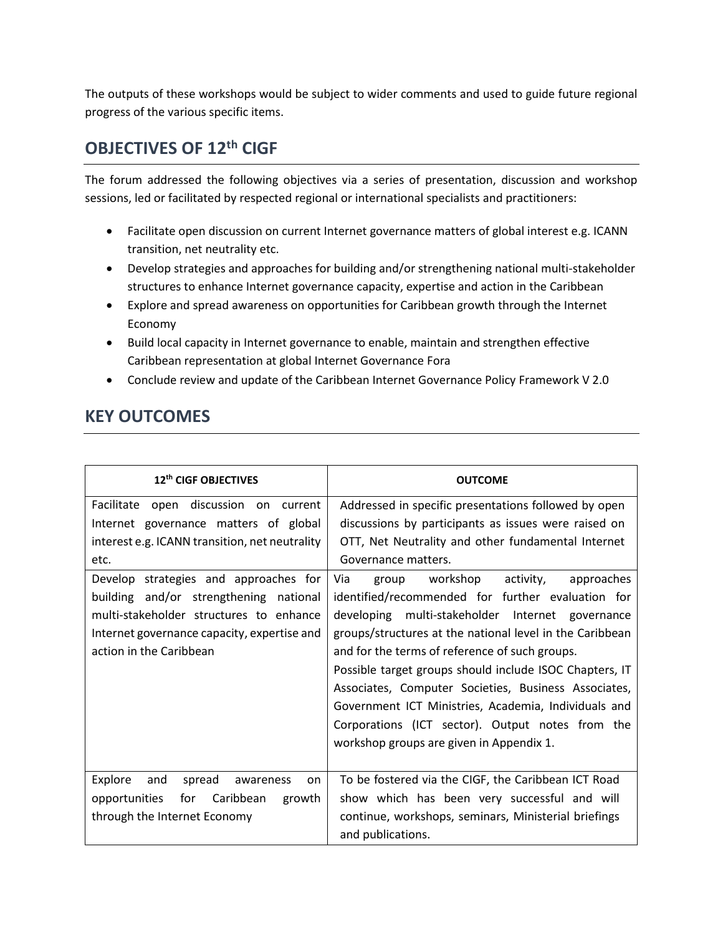The outputs of these workshops would be subject to wider comments and used to guide future regional progress of the various specific items.

### **OBJECTIVES OF 12th CIGF**

The forum addressed the following objectives via a series of presentation, discussion and workshop sessions, led or facilitated by respected regional or international specialists and practitioners:

- Facilitate open discussion on current Internet governance matters of global interest e.g. ICANN transition, net neutrality etc.
- Develop strategies and approaches for building and/or strengthening national multi-stakeholder structures to enhance Internet governance capacity, expertise and action in the Caribbean
- Explore and spread awareness on opportunities for Caribbean growth through the Internet Economy
- Build local capacity in Internet governance to enable, maintain and strengthen effective Caribbean representation at global Internet Governance Fora
- Conclude review and update of the Caribbean Internet Governance Policy Framework V 2.0

## **KEY OUTCOMES**

| 12th CIGF OBJECTIVES                           | <b>OUTCOME</b>                                           |  |  |
|------------------------------------------------|----------------------------------------------------------|--|--|
| Facilitate open discussion on current          | Addressed in specific presentations followed by open     |  |  |
| Internet governance matters of global          | discussions by participants as issues were raised on     |  |  |
| interest e.g. ICANN transition, net neutrality | OTT, Net Neutrality and other fundamental Internet       |  |  |
| etc.                                           | Governance matters.                                      |  |  |
| Develop strategies and approaches for          | Via<br>group workshop activity,<br>approaches            |  |  |
| building and/or strengthening national         | identified/recommended for further evaluation for        |  |  |
| multi-stakeholder structures to enhance        | developing multi-stakeholder Internet governance         |  |  |
| Internet governance capacity, expertise and    | groups/structures at the national level in the Caribbean |  |  |
| action in the Caribbean                        | and for the terms of reference of such groups.           |  |  |
|                                                | Possible target groups should include ISOC Chapters, IT  |  |  |
|                                                | Associates, Computer Societies, Business Associates,     |  |  |
|                                                | Government ICT Ministries, Academia, Individuals and     |  |  |
|                                                | Corporations (ICT sector). Output notes from the         |  |  |
|                                                | workshop groups are given in Appendix 1.                 |  |  |
|                                                |                                                          |  |  |
| Explore<br>and<br>spread<br>awareness<br>on.   | To be fostered via the CIGF, the Caribbean ICT Road      |  |  |
| opportunities<br>for<br>Caribbean<br>growth    | show which has been very successful and will             |  |  |
| through the Internet Economy                   | continue, workshops, seminars, Ministerial briefings     |  |  |
|                                                | and publications.                                        |  |  |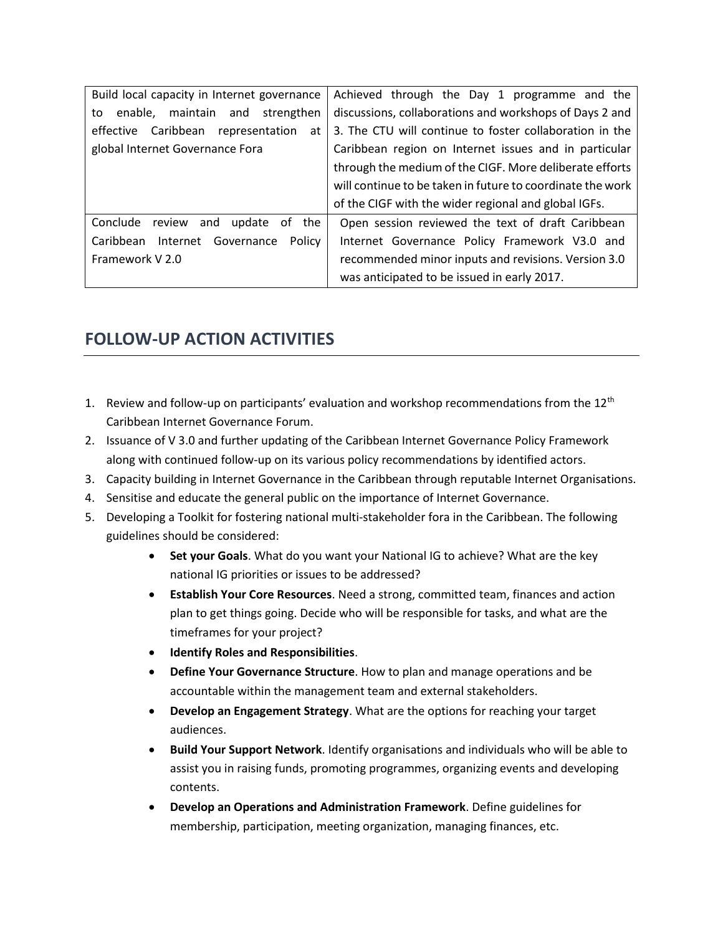| Build local capacity in Internet governance                                                         | Achieved through the Day 1 programme and the               |  |  |  |
|-----------------------------------------------------------------------------------------------------|------------------------------------------------------------|--|--|--|
| discussions, collaborations and workshops of Days 2 and<br>enable, maintain and strengthen<br>to    |                                                            |  |  |  |
| 3. The CTU will continue to foster collaboration in the<br>effective Caribbean representation<br>at |                                                            |  |  |  |
| global Internet Governance Fora                                                                     | Caribbean region on Internet issues and in particular      |  |  |  |
|                                                                                                     | through the medium of the CIGF. More deliberate efforts    |  |  |  |
|                                                                                                     | will continue to be taken in future to coordinate the work |  |  |  |
|                                                                                                     | of the CIGF with the wider regional and global IGFs.       |  |  |  |
| Conclude review<br>the<br>and<br>update<br>0f                                                       | Open session reviewed the text of draft Caribbean          |  |  |  |
| Caribbean<br>Internet Governance<br>Policy                                                          | Internet Governance Policy Framework V3.0 and              |  |  |  |
| Framework V 2.0                                                                                     | recommended minor inputs and revisions. Version 3.0        |  |  |  |
|                                                                                                     | was anticipated to be issued in early 2017.                |  |  |  |

## **FOLLOW-UP ACTION ACTIVITIES**

- 1. Review and follow-up on participants' evaluation and workshop recommendations from the  $12<sup>th</sup>$ Caribbean Internet Governance Forum.
- 2. Issuance of V 3.0 and further updating of the Caribbean Internet Governance Policy Framework along with continued follow-up on its various policy recommendations by identified actors.
- 3. Capacity building in Internet Governance in the Caribbean through reputable Internet Organisations.
- 4. Sensitise and educate the general public on the importance of Internet Governance.
- 5. Developing a Toolkit for fostering national multi-stakeholder fora in the Caribbean. The following guidelines should be considered:
	- **Set your Goals**. What do you want your National IG to achieve? What are the key national IG priorities or issues to be addressed?
	- **Establish Your Core Resources**. Need a strong, committed team, finances and action plan to get things going. Decide who will be responsible for tasks, and what are the timeframes for your project?
	- **Identify Roles and Responsibilities**.
	- **Define Your Governance Structure**. How to plan and manage operations and be accountable within the management team and external stakeholders.
	- **Develop an Engagement Strategy**. What are the options for reaching your target audiences.
	- **Build Your Support Network**. Identify organisations and individuals who will be able to assist you in raising funds, promoting programmes, organizing events and developing contents.
	- **Develop an Operations and Administration Framework**. Define guidelines for membership, participation, meeting organization, managing finances, etc.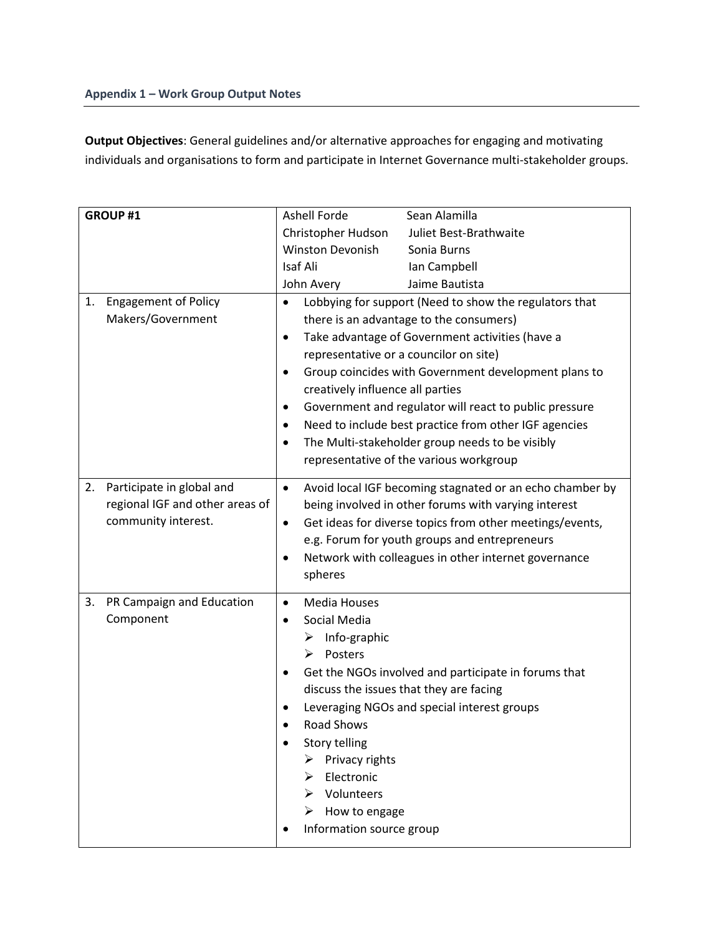**Output Objectives**: General guidelines and/or alternative approaches for engaging and motivating individuals and organisations to form and participate in Internet Governance multi-stakeholder groups.

| GROUP #1                          | <b>Ashell Forde</b><br>Sean Alamilla                                  |
|-----------------------------------|-----------------------------------------------------------------------|
|                                   | Christopher Hudson<br>Juliet Best-Brathwaite                          |
|                                   | Winston Devonish<br>Sonia Burns                                       |
|                                   | Isaf Ali<br>Ian Campbell                                              |
|                                   | John Avery<br>Jaime Bautista                                          |
| <b>Engagement of Policy</b><br>1. | Lobbying for support (Need to show the regulators that<br>$\bullet$   |
| Makers/Government                 | there is an advantage to the consumers)                               |
|                                   | Take advantage of Government activities (have a<br>$\bullet$          |
|                                   | representative or a councilor on site)                                |
|                                   | Group coincides with Government development plans to<br>$\bullet$     |
|                                   | creatively influence all parties                                      |
|                                   | Government and regulator will react to public pressure<br>$\bullet$   |
|                                   | Need to include best practice from other IGF agencies<br>$\bullet$    |
|                                   | The Multi-stakeholder group needs to be visibly<br>$\bullet$          |
|                                   | representative of the various workgroup                               |
|                                   |                                                                       |
| Participate in global and<br>2.   | Avoid local IGF becoming stagnated or an echo chamber by<br>$\bullet$ |
| regional IGF and other areas of   | being involved in other forums with varying interest                  |
| community interest.               | Get ideas for diverse topics from other meetings/events,<br>$\bullet$ |
|                                   | e.g. Forum for youth groups and entrepreneurs                         |
|                                   | Network with colleagues in other internet governance                  |
|                                   | spheres                                                               |
| PR Campaign and Education<br>3.   | <b>Media Houses</b><br>$\bullet$                                      |
| Component                         | Social Media<br>٠                                                     |
|                                   | Info-graphic<br>➤                                                     |
|                                   | Posters<br>➤                                                          |
|                                   | Get the NGOs involved and participate in forums that                  |
|                                   | discuss the issues that they are facing                               |
|                                   | Leveraging NGOs and special interest groups                           |
|                                   | <b>Road Shows</b>                                                     |
|                                   | <b>Story telling</b>                                                  |
|                                   | Privacy rights                                                        |
|                                   | Electronic                                                            |
|                                   | > Volunteers                                                          |
|                                   | $\triangleright$ How to engage                                        |
|                                   | Information source group                                              |
|                                   |                                                                       |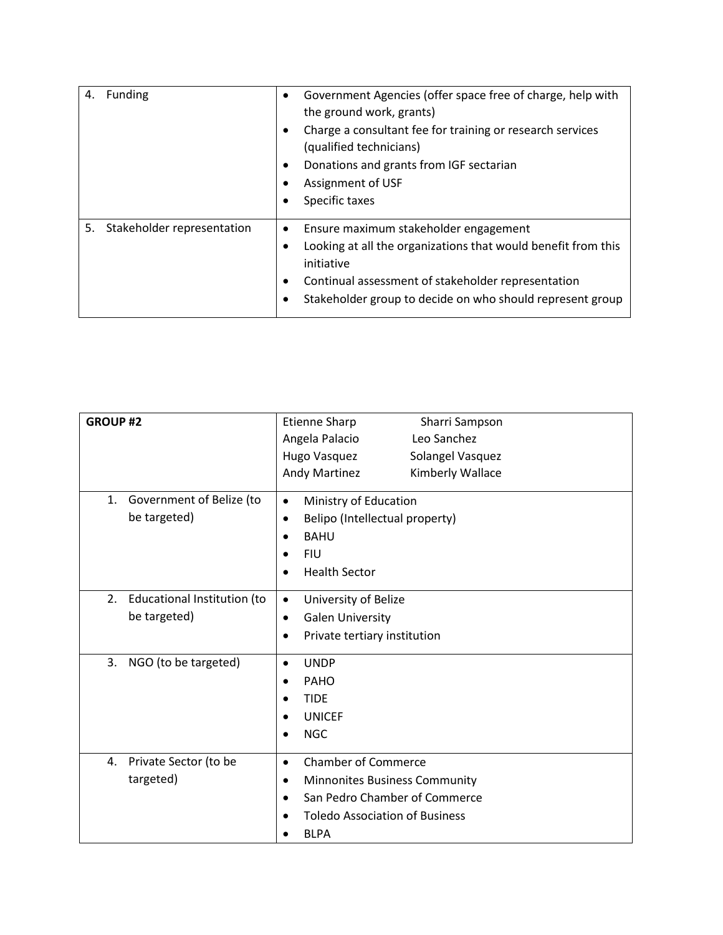| <b>Funding</b><br>4.          | Government Agencies (offer space free of charge, help with<br>the ground work, grants)<br>Charge a consultant fee for training or research services<br>(qualified technicians)<br>Donations and grants from IGF sectarian<br>Assignment of USF<br>Specific taxes |
|-------------------------------|------------------------------------------------------------------------------------------------------------------------------------------------------------------------------------------------------------------------------------------------------------------|
| 5. Stakeholder representation | Ensure maximum stakeholder engagement<br>Looking at all the organizations that would benefit from this<br>initiative<br>Continual assessment of stakeholder representation<br>Stakeholder group to decide on who should represent group                          |

| <b>GROUP#2</b>                                    | Etienne Sharp<br>Sharri Sampson<br>Angela Palacio<br>Leo Sanchez<br>Solangel Vasquez<br>Hugo Vasquez<br>Andy Martinez<br>Kimberly Wallace                              |
|---------------------------------------------------|------------------------------------------------------------------------------------------------------------------------------------------------------------------------|
| 1.<br>Government of Belize (to<br>be targeted)    | Ministry of Education<br>$\bullet$<br>Belipo (Intellectual property)<br>$\bullet$<br><b>BAHU</b><br><b>FIU</b><br><b>Health Sector</b>                                 |
| 2.<br>Educational Institution (to<br>be targeted) | University of Belize<br>$\bullet$<br><b>Galen University</b><br>$\bullet$<br>Private tertiary institution<br>$\bullet$                                                 |
| 3.<br>NGO (to be targeted)                        | <b>UNDP</b><br>$\bullet$<br>PAHO<br><b>TIDE</b><br><b>UNICEF</b><br><b>NGC</b>                                                                                         |
| 4.<br>Private Sector (to be<br>targeted)          | <b>Chamber of Commerce</b><br>$\bullet$<br>Minnonites Business Community<br>٠<br>San Pedro Chamber of Commerce<br><b>Toledo Association of Business</b><br><b>BLPA</b> |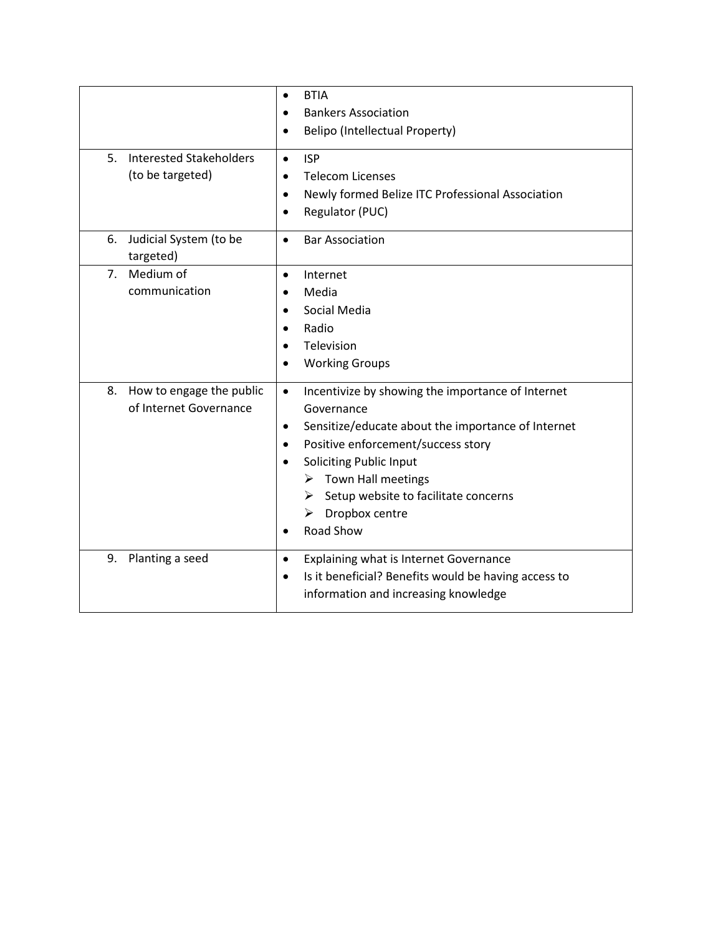| <b>Interested Stakeholders</b><br>5.<br>(to be targeted) | <b>BTIA</b><br>$\bullet$<br><b>Bankers Association</b><br><b>Belipo (Intellectual Property)</b><br>$\bullet$<br><b>ISP</b><br>$\bullet$<br><b>Telecom Licenses</b><br>Newly formed Belize ITC Professional Association<br>$\bullet$<br>Regulator (PUC)<br>$\bullet$                                                                                                      |
|----------------------------------------------------------|--------------------------------------------------------------------------------------------------------------------------------------------------------------------------------------------------------------------------------------------------------------------------------------------------------------------------------------------------------------------------|
| 6.<br>Judicial System (to be<br>targeted)                | <b>Bar Association</b><br>$\bullet$                                                                                                                                                                                                                                                                                                                                      |
| Medium of<br>7 <sub>1</sub><br>communication             | Internet<br>$\bullet$<br>Media<br>$\bullet$<br>Social Media<br>$\bullet$<br>Radio<br>$\bullet$<br>Television<br>$\bullet$<br><b>Working Groups</b>                                                                                                                                                                                                                       |
| How to engage the public<br>8.<br>of Internet Governance | Incentivize by showing the importance of Internet<br>$\bullet$<br>Governance<br>Sensitize/educate about the importance of Internet<br>$\bullet$<br>Positive enforcement/success story<br>$\bullet$<br><b>Soliciting Public Input</b><br>$\triangleright$ Town Hall meetings<br>$\triangleright$ Setup website to facilitate concerns<br>Dropbox centre<br>➤<br>Road Show |
| Planting a seed<br>9.                                    | Explaining what is Internet Governance<br>$\bullet$<br>Is it beneficial? Benefits would be having access to<br>$\bullet$<br>information and increasing knowledge                                                                                                                                                                                                         |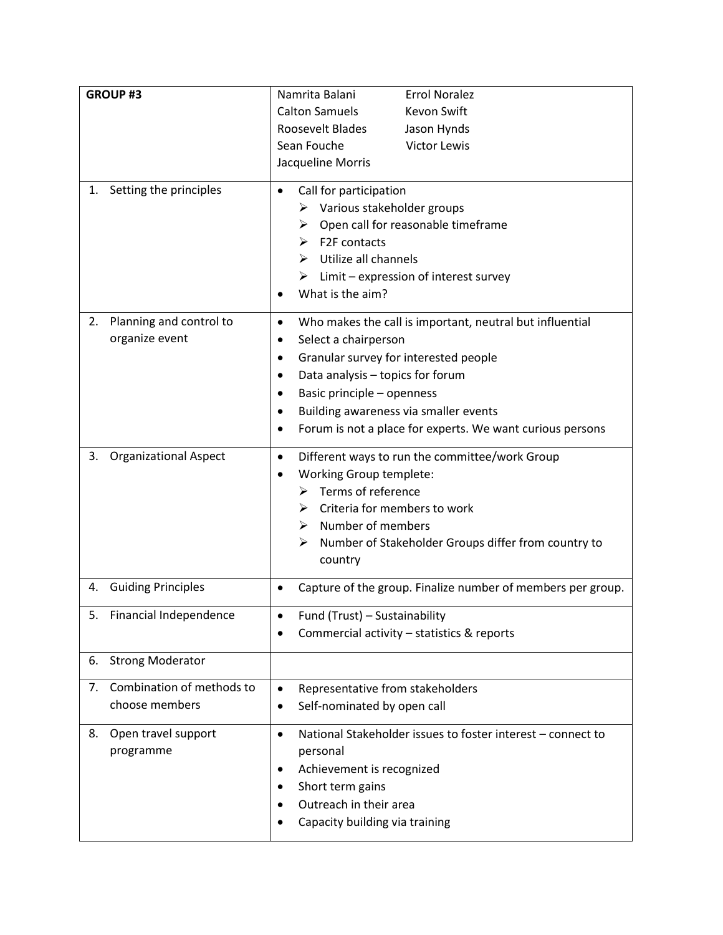| <b>GROUP#3</b>                     | Namrita Balani<br><b>Errol Noralez</b>                                |  |  |
|------------------------------------|-----------------------------------------------------------------------|--|--|
|                                    | <b>Calton Samuels</b><br><b>Kevon Swift</b>                           |  |  |
|                                    | Roosevelt Blades<br>Jason Hynds                                       |  |  |
|                                    | Sean Fouche<br><b>Victor Lewis</b>                                    |  |  |
|                                    | Jacqueline Morris                                                     |  |  |
| Setting the principles<br>1.       | Call for participation                                                |  |  |
|                                    | Various stakeholder groups<br>➤                                       |  |  |
|                                    | Open call for reasonable timeframe<br>➤                               |  |  |
|                                    | F2F contacts<br>⋗                                                     |  |  |
|                                    | Utilize all channels<br>⋗                                             |  |  |
|                                    | Limit - expression of interest survey                                 |  |  |
|                                    | What is the aim?                                                      |  |  |
|                                    |                                                                       |  |  |
| Planning and control to<br>2.      | Who makes the call is important, neutral but influential<br>$\bullet$ |  |  |
| organize event                     | Select a chairperson<br>$\bullet$                                     |  |  |
|                                    | Granular survey for interested people<br>٠                            |  |  |
|                                    | Data analysis - topics for forum                                      |  |  |
|                                    | Basic principle - openness<br>٠                                       |  |  |
|                                    | Building awareness via smaller events                                 |  |  |
|                                    | Forum is not a place for experts. We want curious persons             |  |  |
| <b>Organizational Aspect</b><br>3. | Different ways to run the committee/work Group<br>$\bullet$           |  |  |
|                                    | <b>Working Group templete:</b>                                        |  |  |
|                                    | Terms of reference<br>➤                                               |  |  |
|                                    | Criteria for members to work<br>⋗                                     |  |  |
|                                    | Number of members<br>➤                                                |  |  |
|                                    | Number of Stakeholder Groups differ from country to<br>➤              |  |  |
|                                    | country                                                               |  |  |
| <b>Guiding Principles</b><br>4.    | Capture of the group. Finalize number of members per group.           |  |  |
| 5. Financial Independence          | Fund (Trust) - Sustainability                                         |  |  |
|                                    | Commercial activity - statistics & reports                            |  |  |
|                                    |                                                                       |  |  |
| <b>Strong Moderator</b><br>6.      |                                                                       |  |  |
| Combination of methods to<br>7.    | Representative from stakeholders<br>$\bullet$                         |  |  |
| choose members                     | Self-nominated by open call<br>$\bullet$                              |  |  |
| 8.                                 | National Stakeholder issues to foster interest - connect to           |  |  |
| Open travel support<br>programme   | $\bullet$<br>personal                                                 |  |  |
|                                    |                                                                       |  |  |
|                                    | Achievement is recognized<br>٠                                        |  |  |
|                                    | Short term gains<br>٠<br>Outreach in their area                       |  |  |
|                                    | Capacity building via training                                        |  |  |
|                                    |                                                                       |  |  |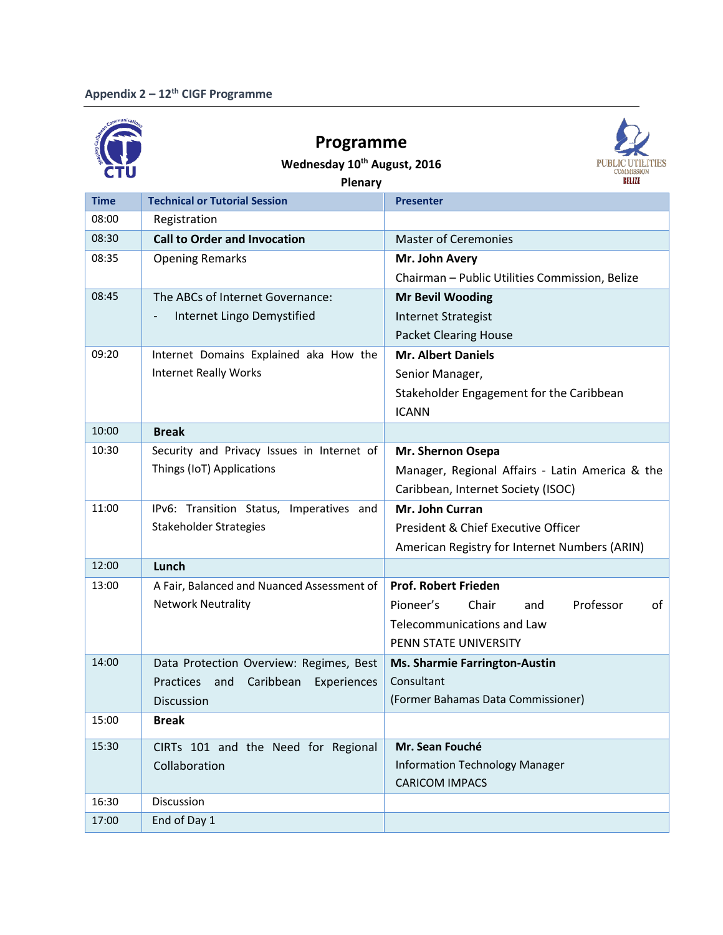



**Wednesday 10th August, 2016**

| <b>710</b>  | Plenary                                    | BELIZE                                          |
|-------------|--------------------------------------------|-------------------------------------------------|
| <b>Time</b> | <b>Technical or Tutorial Session</b>       | Presenter                                       |
| 08:00       | Registration                               |                                                 |
| 08:30       | <b>Call to Order and Invocation</b>        | <b>Master of Ceremonies</b>                     |
| 08:35       | <b>Opening Remarks</b>                     | Mr. John Avery                                  |
|             |                                            | Chairman - Public Utilities Commission, Belize  |
| 08:45       | The ABCs of Internet Governance:           | <b>Mr Bevil Wooding</b>                         |
|             | Internet Lingo Demystified                 | <b>Internet Strategist</b>                      |
|             |                                            | <b>Packet Clearing House</b>                    |
| 09:20       | Internet Domains Explained aka How the     | <b>Mr. Albert Daniels</b>                       |
|             | <b>Internet Really Works</b>               | Senior Manager,                                 |
|             |                                            | Stakeholder Engagement for the Caribbean        |
|             |                                            | <b>ICANN</b>                                    |
| 10:00       | <b>Break</b>                               |                                                 |
| 10:30       | Security and Privacy Issues in Internet of | Mr. Shernon Osepa                               |
|             | Things (IoT) Applications                  | Manager, Regional Affairs - Latin America & the |
|             |                                            | Caribbean, Internet Society (ISOC)              |
| 11:00       | IPv6: Transition Status, Imperatives and   | Mr. John Curran                                 |
|             | Stakeholder Strategies                     | President & Chief Executive Officer             |
|             |                                            | American Registry for Internet Numbers (ARIN)   |
| 12:00       | Lunch                                      |                                                 |
| 13:00       | A Fair, Balanced and Nuanced Assessment of | <b>Prof. Robert Frieden</b>                     |
|             | <b>Network Neutrality</b>                  | Professor<br>Pioneer's<br>Chair<br>of<br>and    |
|             |                                            | <b>Telecommunications and Law</b>               |
|             |                                            | PENN STATE UNIVERSITY                           |
| 14:00       | Data Protection Overview: Regimes, Best    | <b>Ms. Sharmie Farrington-Austin</b>            |
|             | Practices and<br>Caribbean<br>Experiences  | Consultant                                      |
|             | Discussion                                 | (Former Bahamas Data Commissioner)              |
| 15:00       | <b>Break</b>                               |                                                 |
| 15:30       | CIRTs 101 and the Need for Regional        | Mr. Sean Fouché                                 |
|             | Collaboration                              | <b>Information Technology Manager</b>           |
|             |                                            | <b>CARICOM IMPACS</b>                           |
| 16:30       | Discussion                                 |                                                 |
| 17:00       | End of Day 1                               |                                                 |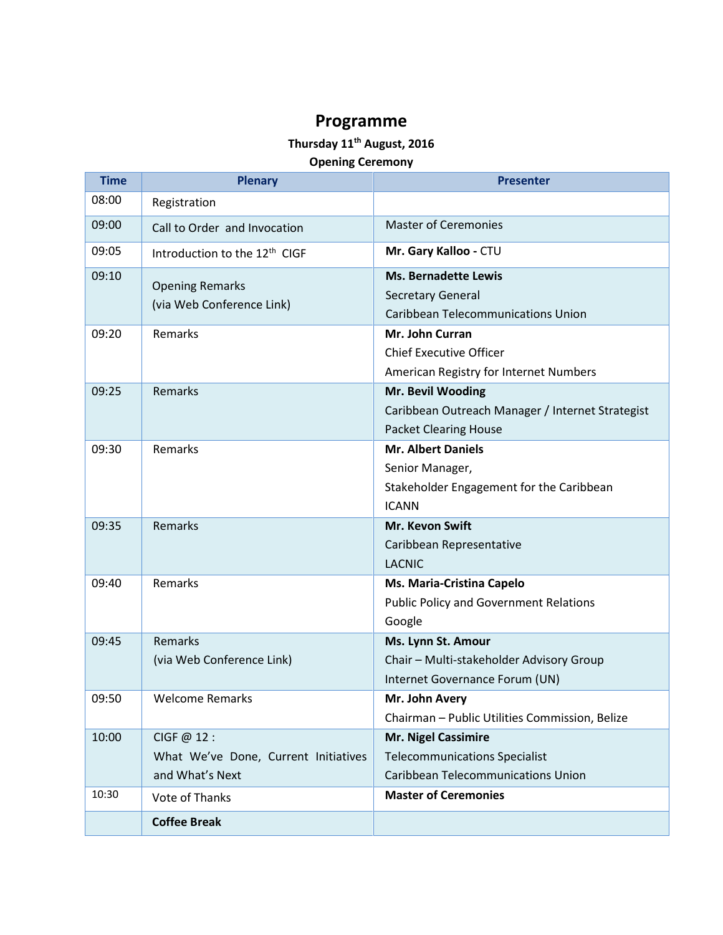#### **Thursday 11th August, 2016**

#### **Opening Ceremony**

| <b>Time</b> | <b>Plenary</b>                                                        | <b>Presenter</b>                                                                                         |
|-------------|-----------------------------------------------------------------------|----------------------------------------------------------------------------------------------------------|
| 08:00       | Registration                                                          |                                                                                                          |
| 09:00       | Call to Order and Invocation                                          | <b>Master of Ceremonies</b>                                                                              |
| 09:05       | Introduction to the 12 <sup>th</sup> CIGF                             | Mr. Gary Kalloo - CTU                                                                                    |
| 09:10       | <b>Opening Remarks</b><br>(via Web Conference Link)                   | <b>Ms. Bernadette Lewis</b><br><b>Secretary General</b><br><b>Caribbean Telecommunications Union</b>     |
| 09:20       | Remarks                                                               | Mr. John Curran<br><b>Chief Executive Officer</b><br>American Registry for Internet Numbers              |
| 09:25       | Remarks                                                               | Mr. Bevil Wooding<br>Caribbean Outreach Manager / Internet Strategist<br><b>Packet Clearing House</b>    |
| 09:30       | Remarks                                                               | <b>Mr. Albert Daniels</b><br>Senior Manager,<br>Stakeholder Engagement for the Caribbean<br><b>ICANN</b> |
| 09:35       | Remarks                                                               | <b>Mr. Kevon Swift</b><br>Caribbean Representative<br><b>LACNIC</b>                                      |
| 09:40       | Remarks                                                               | Ms. Maria-Cristina Capelo<br><b>Public Policy and Government Relations</b><br>Google                     |
| 09:45       | Remarks<br>(via Web Conference Link)                                  | Ms. Lynn St. Amour<br>Chair - Multi-stakeholder Advisory Group<br>Internet Governance Forum (UN)         |
| 09:50       | <b>Welcome Remarks</b>                                                | Mr. John Avery<br>Chairman - Public Utilities Commission, Belize                                         |
| 10:00       | CIGF @ 12:<br>What We've Done, Current Initiatives<br>and What's Next | Mr. Nigel Cassimire<br><b>Telecommunications Specialist</b><br><b>Caribbean Telecommunications Union</b> |
| 10:30       | Vote of Thanks                                                        | <b>Master of Ceremonies</b>                                                                              |
|             | <b>Coffee Break</b>                                                   |                                                                                                          |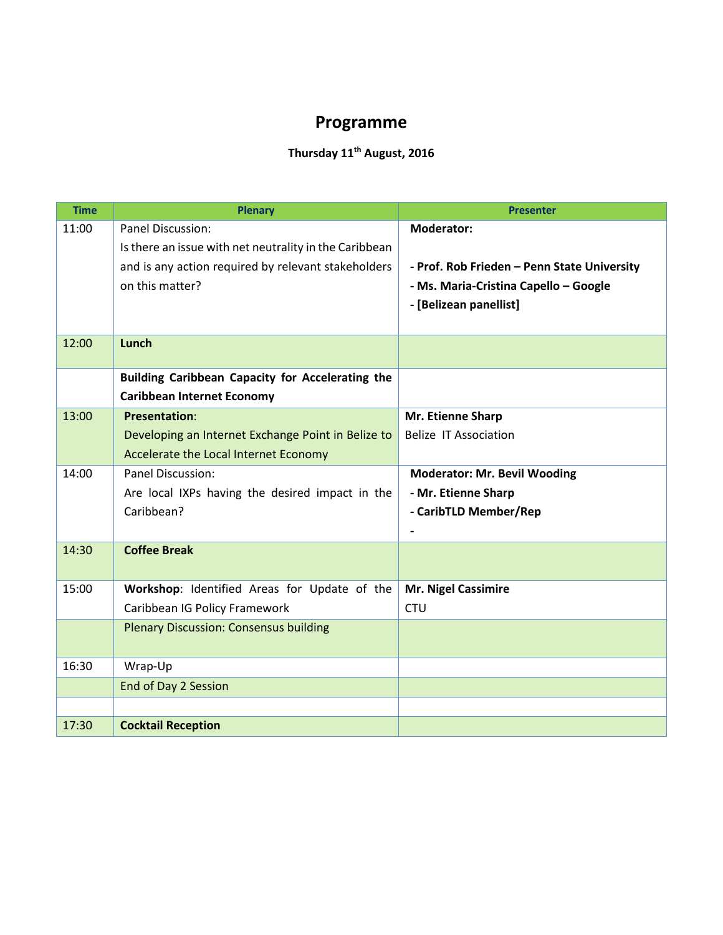## **Thursday 11th August, 2016**

| <b>Time</b> | <b>Plenary</b>                                         | <b>Presenter</b>                            |
|-------------|--------------------------------------------------------|---------------------------------------------|
| 11:00       | Panel Discussion:                                      | <b>Moderator:</b>                           |
|             | Is there an issue with net neutrality in the Caribbean |                                             |
|             | and is any action required by relevant stakeholders    | - Prof. Rob Frieden - Penn State University |
|             | on this matter?                                        | - Ms. Maria-Cristina Capello - Google       |
|             |                                                        | - [Belizean panellist]                      |
|             |                                                        |                                             |
| 12:00       | Lunch                                                  |                                             |
|             | Building Caribbean Capacity for Accelerating the       |                                             |
|             | <b>Caribbean Internet Economy</b>                      |                                             |
| 13:00       | <b>Presentation:</b>                                   | Mr. Etienne Sharp                           |
|             | Developing an Internet Exchange Point in Belize to     | <b>Belize IT Association</b>                |
|             | Accelerate the Local Internet Economy                  |                                             |
| 14:00       | <b>Panel Discussion:</b>                               | <b>Moderator: Mr. Bevil Wooding</b>         |
|             | Are local IXPs having the desired impact in the        | - Mr. Etienne Sharp                         |
|             | Caribbean?                                             | - CaribTLD Member/Rep                       |
|             |                                                        |                                             |
| 14:30       | <b>Coffee Break</b>                                    |                                             |
|             |                                                        |                                             |
| 15:00       | Workshop: Identified Areas for Update of the           | <b>Mr. Nigel Cassimire</b>                  |
|             | Caribbean IG Policy Framework                          | <b>CTU</b>                                  |
|             | <b>Plenary Discussion: Consensus building</b>          |                                             |
|             |                                                        |                                             |
| 16:30       | Wrap-Up                                                |                                             |
|             | End of Day 2 Session                                   |                                             |
|             |                                                        |                                             |
| 17:30       | <b>Cocktail Reception</b>                              |                                             |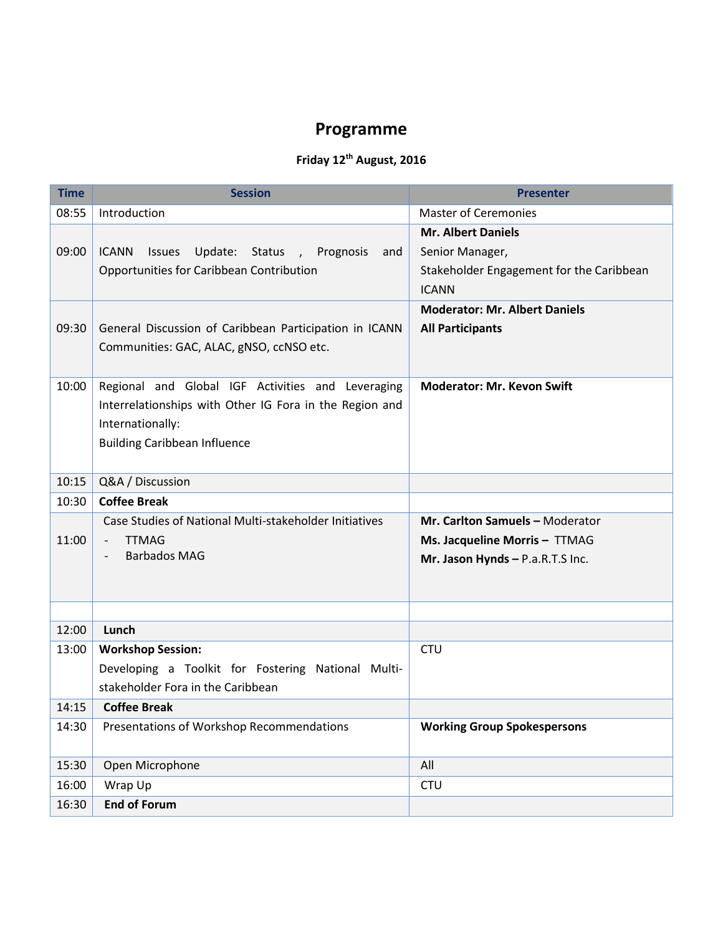### **Friday 12th August, 2016**

| <b>Time</b> | <b>Session</b>                                                                                                                                                          | <b>Presenter</b>                                                                                         |
|-------------|-------------------------------------------------------------------------------------------------------------------------------------------------------------------------|----------------------------------------------------------------------------------------------------------|
| 08:55       | Introduction                                                                                                                                                            | <b>Master of Ceremonies</b>                                                                              |
| 09:00       | Update: Status , Prognosis<br>ICANN<br><b>Issues</b><br>and<br>Opportunities for Caribbean Contribution                                                                 | <b>Mr. Albert Daniels</b><br>Senior Manager,<br>Stakeholder Engagement for the Caribbean<br><b>ICANN</b> |
| 09:30       | General Discussion of Caribbean Participation in ICANN<br>Communities: GAC, ALAC, gNSO, ccNSO etc.                                                                      | <b>Moderator: Mr. Albert Daniels</b><br><b>All Participants</b>                                          |
| 10:00       | Regional and Global IGF Activities and Leveraging<br>Interrelationships with Other IG Fora in the Region and<br>Internationally:<br><b>Building Caribbean Influence</b> | <b>Moderator: Mr. Kevon Swift</b>                                                                        |
| 10:15       | Q&A / Discussion                                                                                                                                                        |                                                                                                          |
| 10:30       | <b>Coffee Break</b>                                                                                                                                                     |                                                                                                          |
| 11:00       | Case Studies of National Multi-stakeholder Initiatives<br><b>TTMAG</b><br>$\overline{\phantom{a}}$<br><b>Barbados MAG</b>                                               | Mr. Carlton Samuels - Moderator<br>Ms. Jacqueline Morris - TTMAG<br>Mr. Jason Hynds - P.a.R.T.S Inc.     |
|             |                                                                                                                                                                         |                                                                                                          |
| 12:00       | Lunch                                                                                                                                                                   |                                                                                                          |
| 13:00       | <b>Workshop Session:</b><br>Developing a Toolkit for Fostering National Multi-<br>stakeholder Fora in the Caribbean                                                     | <b>CTU</b>                                                                                               |
| 14:15       | <b>Coffee Break</b>                                                                                                                                                     |                                                                                                          |
| 14:30       | Presentations of Workshop Recommendations                                                                                                                               | <b>Working Group Spokespersons</b>                                                                       |
| 15:30       | Open Microphone                                                                                                                                                         | All                                                                                                      |
| 16:00       | Wrap Up                                                                                                                                                                 | <b>CTU</b>                                                                                               |
| 16:30       | <b>End of Forum</b>                                                                                                                                                     |                                                                                                          |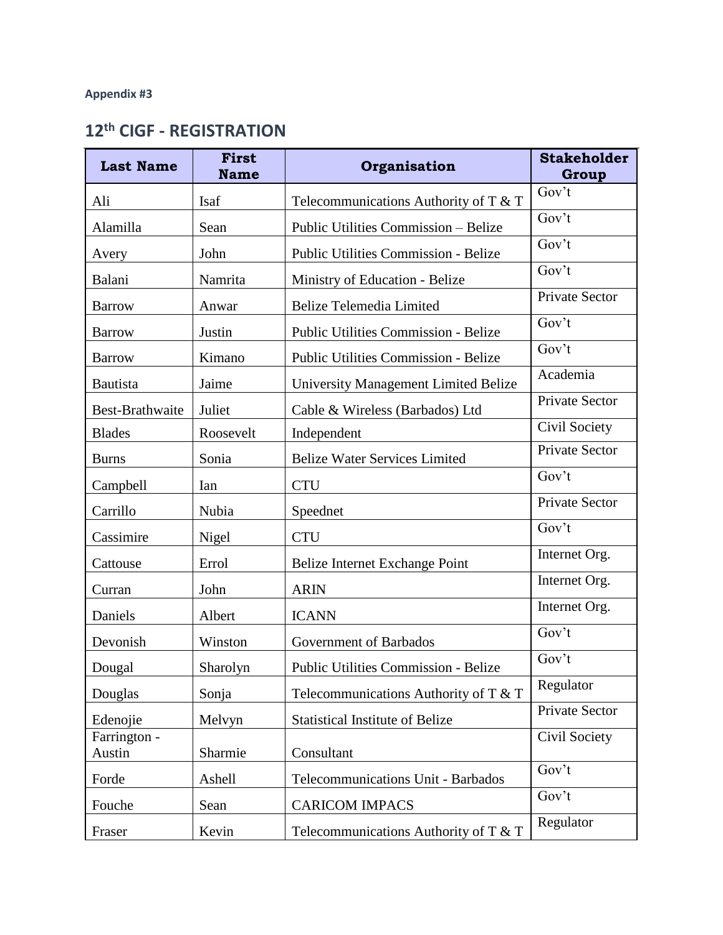# **12th CIGF - REGISTRATION**

| <b>Last Name</b>       | <b>First</b><br><b>Name</b> | Organisation                                | <b>Stakeholder</b><br>Group |
|------------------------|-----------------------------|---------------------------------------------|-----------------------------|
| Ali                    | Isaf                        | Telecommunications Authority of T $&$ T     | Gov't                       |
| Alamilla               | Sean                        | Public Utilities Commission - Belize        | Gov't                       |
| Avery                  | John                        | <b>Public Utilities Commission - Belize</b> | Gov't                       |
| Balani                 | Namrita                     | Ministry of Education - Belize              | Gov't                       |
| <b>Barrow</b>          | Anwar                       | <b>Belize Telemedia Limited</b>             | <b>Private Sector</b>       |
| <b>Barrow</b>          | Justin                      | <b>Public Utilities Commission - Belize</b> | Gov't                       |
| <b>Barrow</b>          | Kimano                      | <b>Public Utilities Commission - Belize</b> | Gov't                       |
| Bautista               | Jaime                       | <b>University Management Limited Belize</b> | Academia                    |
| Best-Brathwaite        | Juliet                      | Cable & Wireless (Barbados) Ltd             | <b>Private Sector</b>       |
| <b>Blades</b>          | Roosevelt                   | Independent                                 | Civil Society               |
| <b>Burns</b>           | Sonia                       | <b>Belize Water Services Limited</b>        | <b>Private Sector</b>       |
| Campbell               | Ian                         | <b>CTU</b>                                  | Gov't                       |
| Carrillo               | Nubia                       | Speednet                                    | <b>Private Sector</b>       |
| Cassimire              | Nigel                       | <b>CTU</b>                                  | Gov't                       |
| Cattouse               | Errol                       | Belize Internet Exchange Point              | Internet Org.               |
| Curran                 | John                        | <b>ARIN</b>                                 | Internet Org.               |
| Daniels                | Albert                      | <b>ICANN</b>                                | Internet Org.               |
| Devonish               | Winston                     | Government of Barbados                      | Gov't                       |
| Dougal                 | Sharolyn                    | <b>Public Utilities Commission - Belize</b> | Gov't                       |
| Douglas                | Sonja                       | Telecommunications Authority of T & T       | Regulator                   |
| Edenojie               | Melvyn                      | <b>Statistical Institute of Belize</b>      | Private Sector              |
| Farrington -<br>Austin | Sharmie                     | Consultant                                  | Civil Society               |
| Forde                  | Ashell                      | Telecommunications Unit - Barbados          | Gov't                       |
| Fouche                 | Sean                        | <b>CARICOM IMPACS</b>                       | Gov't                       |
| Fraser                 | Kevin                       | Telecommunications Authority of $T \& T$    | Regulator                   |